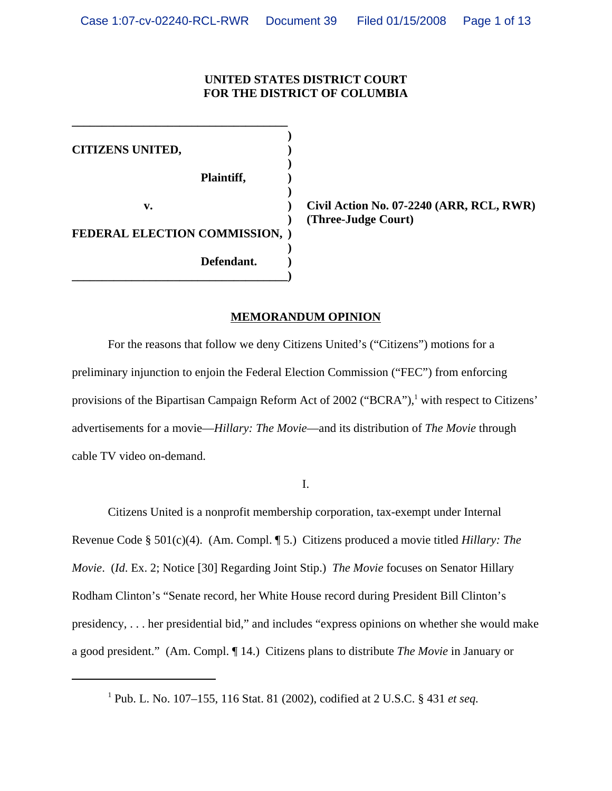## **UNITED STATES DISTRICT COURT FOR THE DISTRICT OF COLUMBIA**

**) CITIZENS UNITED, ) ) Plaintiff, ) ) FEDERAL ELECTION COMMISSION, ) ) Defendant. ) \_\_\_\_\_\_\_\_\_\_\_\_\_\_\_\_\_\_\_\_\_\_\_\_\_\_\_\_\_\_\_\_\_\_\_\_)**

**\_\_\_\_\_\_\_\_\_\_\_\_\_\_\_\_\_\_\_\_\_\_\_\_\_\_\_\_\_\_\_\_\_\_\_\_**

 **v. ) Civil Action No. 07-2240 (ARR, RCL, RWR) ) (Three-Judge Court)** 

## **MEMORANDUM OPINION**

For the reasons that follow we deny Citizens United's ("Citizens") motions for a preliminary injunction to enjoin the Federal Election Commission ("FEC") from enforcing provisions of the Bipartisan Campaign Reform Act of 2002 ("BCRA"),<sup>1</sup> with respect to Citizens' advertisements for a movie—*Hillary: The Movie*—and its distribution of *The Movie* through cable TV video on-demand.

I.

Citizens United is a nonprofit membership corporation, tax-exempt under Internal Revenue Code § 501(c)(4). (Am. Compl. ¶ 5.) Citizens produced a movie titled *Hillary: The Movie*. (*Id*. Ex. 2; Notice [30] Regarding Joint Stip.) *The Movie* focuses on Senator Hillary Rodham Clinton's "Senate record, her White House record during President Bill Clinton's presidency, . . . her presidential bid," and includes "express opinions on whether she would make a good president." (Am. Compl. ¶ 14.) Citizens plans to distribute *The Movie* in January or

1 Pub. L. No. 107–155, 116 Stat. 81 (2002), codified at 2 U.S.C. § 431 *et seq.*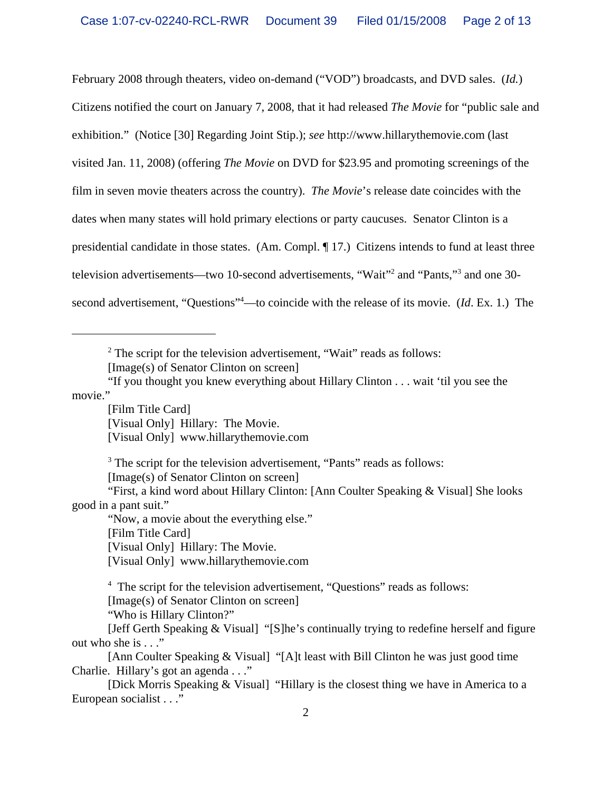February 2008 through theaters, video on-demand ("VOD") broadcasts, and DVD sales. (*Id.*) Citizens notified the court on January 7, 2008, that it had released *The Movie* for "public sale and exhibition." (Notice [30] Regarding Joint Stip.); *see* http://www.hillarythemovie.com (last visited Jan. 11, 2008) (offering *The Movie* on DVD for \$23.95 and promoting screenings of the film in seven movie theaters across the country). *The Movie*'s release date coincides with the dates when many states will hold primary elections or party caucuses. Senator Clinton is a presidential candidate in those states. (Am. Compl. ¶ 17.) Citizens intends to fund at least three television advertisements—two 10-second advertisements, "Wait"<sup>2</sup> and "Pants,"<sup>3</sup> and one 30second advertisement, "Questions"<sup>4</sup>—to coincide with the release of its movie. (*Id*. Ex. 1.) The

 $2^2$  The script for the television advertisement, "Wait" reads as follows: [Image(s) of Senator Clinton on screen]

"If you thought you knew everything about Hillary Clinton . . . wait 'til you see the movie."

[Film Title Card] [Visual Only] Hillary: The Movie. [Visual Only] www.hillarythemovie.com

<sup>3</sup> The script for the television advertisement, "Pants" reads as follows: [Image(s) of Senator Clinton on screen]

"First, a kind word about Hillary Clinton: [Ann Coulter Speaking & Visual] She looks good in a pant suit."

"Now, a movie about the everything else."

[Film Title Card]

[Visual Only] Hillary: The Movie.

[Visual Only] www.hillarythemovie.com

<sup>4</sup> The script for the television advertisement, "Questions" reads as follows: [Image(s) of Senator Clinton on screen]

"Who is Hillary Clinton?"

[Jeff Gerth Speaking & Visual] "[S]he's continually trying to redefine herself and figure out who she is . . ."

[Ann Coulter Speaking & Visual] "[A]t least with Bill Clinton he was just good time Charlie. Hillary's got an agenda . . ."

[Dick Morris Speaking & Visual] "Hillary is the closest thing we have in America to a European socialist . . ."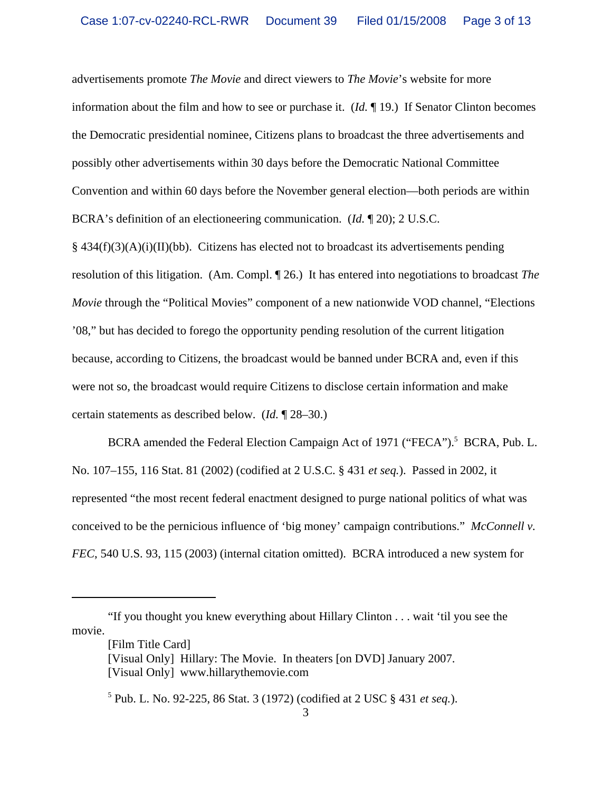advertisements promote *The Movie* and direct viewers to *The Movie*'s website for more information about the film and how to see or purchase it. (*Id.* ¶ 19.) If Senator Clinton becomes the Democratic presidential nominee, Citizens plans to broadcast the three advertisements and possibly other advertisements within 30 days before the Democratic National Committee Convention and within 60 days before the November general election—both periods are within BCRA's definition of an electioneering communication. (*Id.* ¶ 20); 2 U.S.C.

 $§$  434(f)(3)(A)(i)(II)(bb). Citizens has elected not to broadcast its advertisements pending resolution of this litigation. (Am. Compl. ¶ 26.) It has entered into negotiations to broadcast *The Movie* through the "Political Movies" component of a new nationwide VOD channel, "Elections '08," but has decided to forego the opportunity pending resolution of the current litigation because, according to Citizens, the broadcast would be banned under BCRA and, even if this were not so, the broadcast would require Citizens to disclose certain information and make certain statements as described below. (*Id.* ¶ 28–30.)

BCRA amended the Federal Election Campaign Act of 1971 ("FECA").<sup>5</sup> BCRA, Pub. L. No. 107–155, 116 Stat. 81 (2002) (codified at 2 U.S.C. § 431 *et seq.*). Passed in 2002, it represented "the most recent federal enactment designed to purge national politics of what was conceived to be the pernicious influence of 'big money' campaign contributions." *McConnell v. FEC*, 540 U.S. 93, 115 (2003) (internal citation omitted). BCRA introduced a new system for

<sup>&</sup>quot;If you thought you knew everything about Hillary Clinton . . . wait 'til you see the movie.

<sup>[</sup>Film Title Card]

<sup>[</sup>Visual Only] Hillary: The Movie. In theaters [on DVD] January 2007. [Visual Only] www.hillarythemovie.com

<sup>5</sup> Pub. L. No. 92-225, 86 Stat. 3 (1972) (codified at 2 USC § 431 *et seq.*).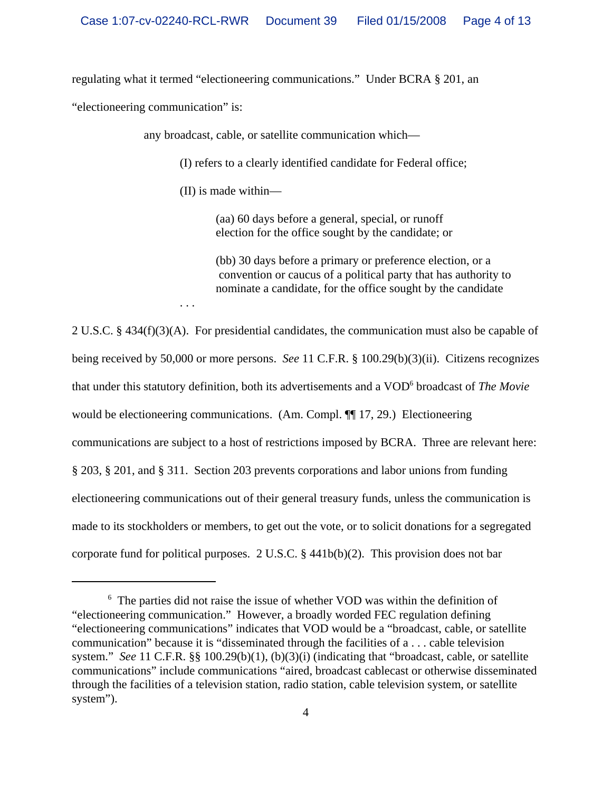regulating what it termed "electioneering communications." Under BCRA § 201, an

"electioneering communication" is:

any broadcast, cable, or satellite communication which—

(I) refers to a clearly identified candidate for Federal office;

(II) is made within—

. . .

(aa) 60 days before a general, special, or runoff election for the office sought by the candidate; or

(bb) 30 days before a primary or preference election, or a convention or caucus of a political party that has authority to nominate a candidate, for the office sought by the candidate

2 U.S.C. § 434(f)(3)(A). For presidential candidates, the communication must also be capable of being received by 50,000 or more persons. *See* 11 C.F.R. § 100.29(b)(3)(ii). Citizens recognizes that under this statutory definition, both its advertisements and a VOD<sup>6</sup> broadcast of *The Movie* would be electioneering communications. (Am. Compl. ¶¶ 17, 29.) Electioneering communications are subject to a host of restrictions imposed by BCRA. Three are relevant here: § 203, § 201, and § 311. Section 203 prevents corporations and labor unions from funding electioneering communications out of their general treasury funds, unless the communication is made to its stockholders or members, to get out the vote, or to solicit donations for a segregated corporate fund for political purposes. 2 U.S.C. § 441b(b)(2). This provision does not bar

<sup>&</sup>lt;sup>6</sup> The parties did not raise the issue of whether VOD was within the definition of "electioneering communication." However, a broadly worded FEC regulation defining "electioneering communications" indicates that VOD would be a "broadcast, cable, or satellite communication" because it is "disseminated through the facilities of a . . . cable television system." *See* 11 C.F.R. §§ 100.29(b)(1), (b)(3)(i) (indicating that "broadcast, cable, or satellite communications" include communications "aired, broadcast cablecast or otherwise disseminated through the facilities of a television station, radio station, cable television system, or satellite system").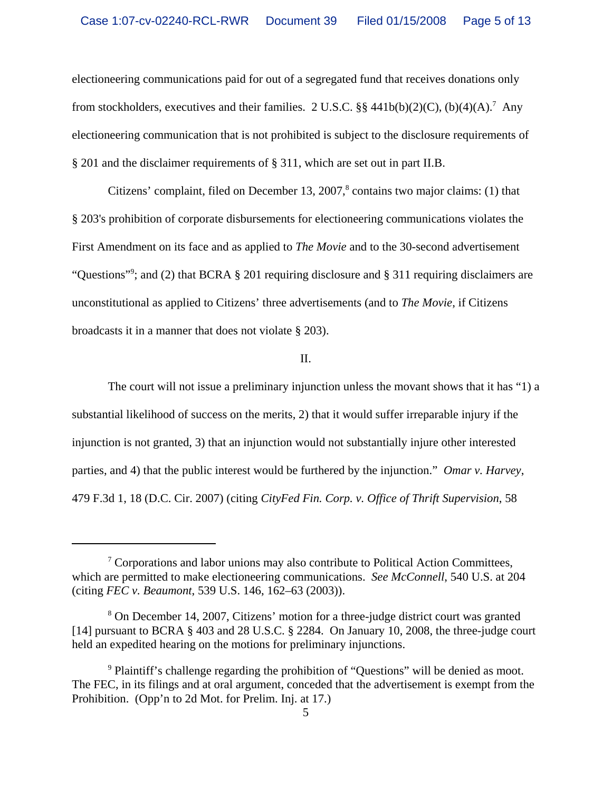electioneering communications paid for out of a segregated fund that receives donations only from stockholders, executives and their families. 2 U.S.C. §§ 441b(b)(2)(C), (b)(4)(A).<sup>7</sup> Any electioneering communication that is not prohibited is subject to the disclosure requirements of § 201 and the disclaimer requirements of § 311, which are set out in part II.B.

Citizens' complaint, filed on December 13, 2007, $\textdegree$  contains two major claims: (1) that § 203's prohibition of corporate disbursements for electioneering communications violates the First Amendment on its face and as applied to *The Movie* and to the 30-second advertisement "Questions"<sup>9</sup>; and (2) that BCRA § 201 requiring disclosure and § 311 requiring disclaimers are unconstitutional as applied to Citizens' three advertisements (and to *The Movie*, if Citizens broadcasts it in a manner that does not violate § 203).

## II.

The court will not issue a preliminary injunction unless the movant shows that it has "1) a substantial likelihood of success on the merits, 2) that it would suffer irreparable injury if the injunction is not granted, 3) that an injunction would not substantially injure other interested parties, and 4) that the public interest would be furthered by the injunction." *Omar v. Harvey*, 479 F.3d 1, 18 (D.C. Cir. 2007) (citing *CityFed Fin. Corp. v. Office of Thrift Supervision*, 58

 $\sigma$ <sup>7</sup> Corporations and labor unions may also contribute to Political Action Committees, which are permitted to make electioneering communications. *See McConnell*, 540 U.S. at 204 (citing *FEC v. Beaumont*, 539 U.S. 146, 162–63 (2003)).

<sup>&</sup>lt;sup>8</sup> On December 14, 2007, Citizens' motion for a three-judge district court was granted [14] pursuant to BCRA § 403 and 28 U.S.C. § 2284. On January 10, 2008, the three-judge court held an expedited hearing on the motions for preliminary injunctions.

<sup>&</sup>lt;sup>9</sup> Plaintiff's challenge regarding the prohibition of "Questions" will be denied as moot. The FEC, in its filings and at oral argument, conceded that the advertisement is exempt from the Prohibition. (Opp'n to 2d Mot. for Prelim. Inj. at 17.)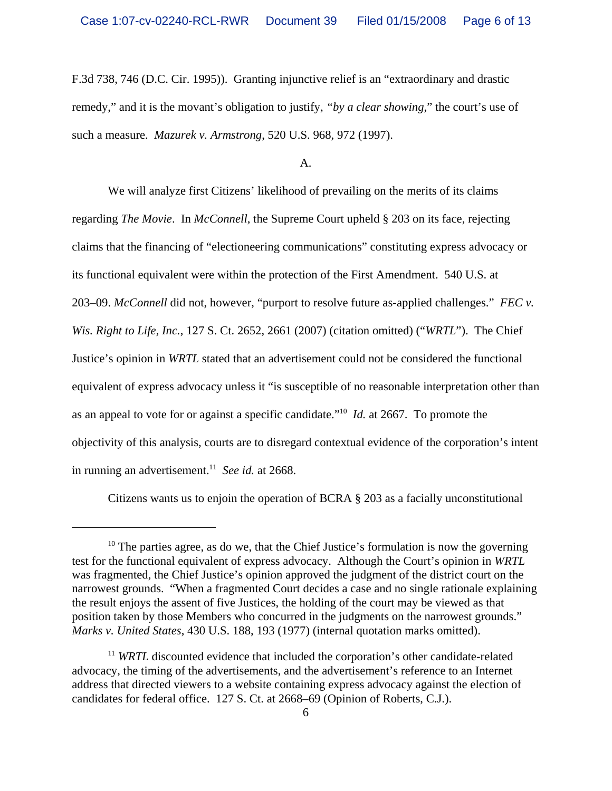F.3d 738, 746 (D.C. Cir. 1995)). Granting injunctive relief is an "extraordinary and drastic remedy," and it is the movant's obligation to justify, *"by a clear showing*," the court's use of such a measure. *Mazurek v. Armstrong*, 520 U.S. 968, 972 (1997).

A.

We will analyze first Citizens' likelihood of prevailing on the merits of its claims regarding *The Movie*. In *McConnell*, the Supreme Court upheld § 203 on its face, rejecting claims that the financing of "electioneering communications" constituting express advocacy or its functional equivalent were within the protection of the First Amendment. 540 U.S. at 203–09. *McConnell* did not, however, "purport to resolve future as-applied challenges." *FEC v. Wis. Right to Life, Inc.*, 127 S. Ct. 2652, 2661 (2007) (citation omitted) ("*WRTL*"). The Chief Justice's opinion in *WRTL* stated that an advertisement could not be considered the functional equivalent of express advocacy unless it "is susceptible of no reasonable interpretation other than as an appeal to vote for or against a specific candidate."10 *Id.* at 2667. To promote the objectivity of this analysis, courts are to disregard contextual evidence of the corporation's intent in running an advertisement.<sup>11</sup> *See id.* at 2668.

Citizens wants us to enjoin the operation of BCRA § 203 as a facially unconstitutional

 $10$  The parties agree, as do we, that the Chief Justice's formulation is now the governing test for the functional equivalent of express advocacy. Although the Court's opinion in *WRTL* was fragmented, the Chief Justice's opinion approved the judgment of the district court on the narrowest grounds. "When a fragmented Court decides a case and no single rationale explaining the result enjoys the assent of five Justices, the holding of the court may be viewed as that position taken by those Members who concurred in the judgments on the narrowest grounds." *Marks v. United States*, 430 U.S. 188, 193 (1977) (internal quotation marks omitted).

<sup>&</sup>lt;sup>11</sup> *WRTL* discounted evidence that included the corporation's other candidate-related advocacy, the timing of the advertisements, and the advertisement's reference to an Internet address that directed viewers to a website containing express advocacy against the election of candidates for federal office. 127 S. Ct. at 2668–69 (Opinion of Roberts, C.J.).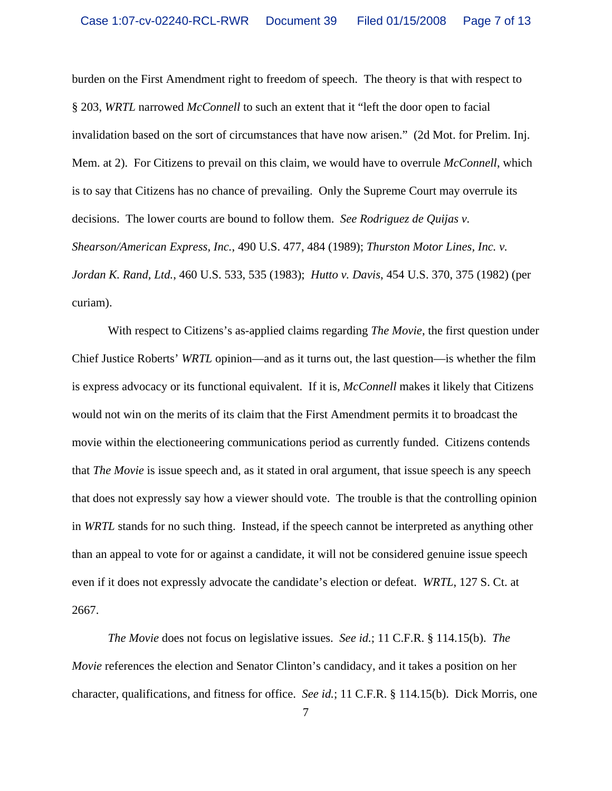burden on the First Amendment right to freedom of speech. The theory is that with respect to § 203, *WRTL* narrowed *McConnell* to such an extent that it "left the door open to facial invalidation based on the sort of circumstances that have now arisen." (2d Mot. for Prelim. Inj. Mem. at 2). For Citizens to prevail on this claim, we would have to overrule *McConnell*, which is to say that Citizens has no chance of prevailing. Only the Supreme Court may overrule its decisions. The lower courts are bound to follow them. *See Rodriguez de Quijas v. Shearson/American Express, Inc.*, 490 U.S. 477, 484 (1989); *Thurston Motor Lines, Inc. v. Jordan K. Rand, Ltd.*, 460 U.S. 533, 535 (1983); *Hutto v. Davis*, 454 U.S. 370, 375 (1982) (per curiam).

With respect to Citizens's as-applied claims regarding *The Movie*, the first question under Chief Justice Roberts' *WRTL* opinion—and as it turns out, the last question—is whether the film is express advocacy or its functional equivalent. If it is, *McConnell* makes it likely that Citizens would not win on the merits of its claim that the First Amendment permits it to broadcast the movie within the electioneering communications period as currently funded. Citizens contends that *The Movie* is issue speech and, as it stated in oral argument, that issue speech is any speech that does not expressly say how a viewer should vote.The trouble is that the controlling opinion in *WRTL* stands for no such thing. Instead, if the speech cannot be interpreted as anything other than an appeal to vote for or against a candidate, it will not be considered genuine issue speech even if it does not expressly advocate the candidate's election or defeat. *WRTL*, 127 S. Ct. at 2667.

*The Movie* does not focus on legislative issues. *See id.*; 11 C.F.R. § 114.15(b). *The Movie* references the election and Senator Clinton's candidacy, and it takes a position on her character, qualifications, and fitness for office. *See id.*; 11 C.F.R. § 114.15(b). Dick Morris, one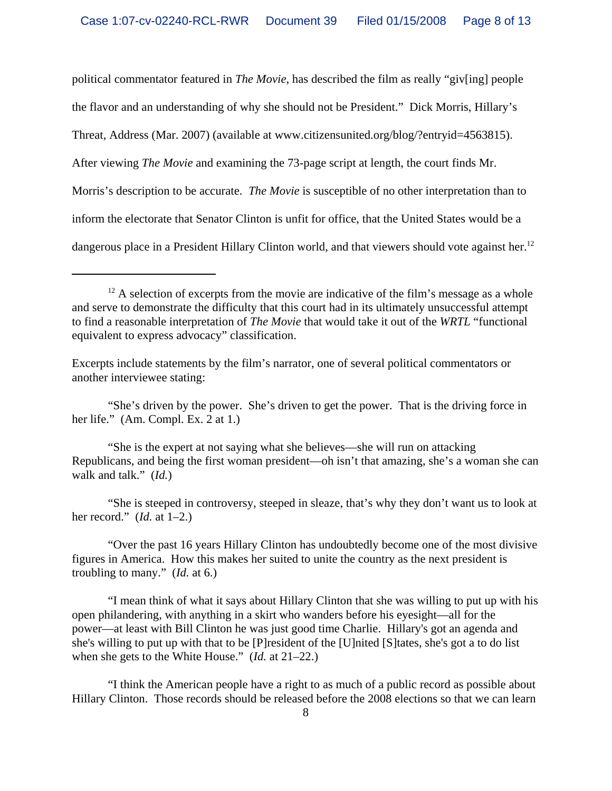political commentator featured in *The Movie*, has described the film as really "giv[ing] people the flavor and an understanding of why she should not be President." Dick Morris, Hillary's Threat, Address (Mar. 2007) (available at www.citizensunited.org/blog/?entryid=4563815). After viewing *The Movie* and examining the 73-page script at length, the court finds Mr. Morris's description to be accurate. *The Movie* is susceptible of no other interpretation than to inform the electorate that Senator Clinton is unfit for office, that the United States would be a dangerous place in a President Hillary Clinton world, and that viewers should vote against her.<sup>12</sup>

"She's driven by the power. She's driven to get the power. That is the driving force in her life." (Am. Compl. Ex. 2 at 1.)

"She is the expert at not saying what she believes—she will run on attacking Republicans, and being the first woman president—oh isn't that amazing, she's a woman she can walk and talk." (*Id.*)

"She is steeped in controversy, steeped in sleaze, that's why they don't want us to look at her record." (*Id.* at 1–2.)

"Over the past 16 years Hillary Clinton has undoubtedly become one of the most divisive figures in America. How this makes her suited to unite the country as the next president is troubling to many." (*Id.* at 6.)

"I mean think of what it says about Hillary Clinton that she was willing to put up with his open philandering, with anything in a skirt who wanders before his eyesight—all for the power—at least with Bill Clinton he was just good time Charlie. Hillary's got an agenda and she's willing to put up with that to be [P]resident of the [U]nited [S]tates, she's got a to do list when she gets to the White House." (*Id.* at 21–22.)

"I think the American people have a right to as much of a public record as possible about Hillary Clinton. Those records should be released before the 2008 elections so that we can learn

 $12$  A selection of excerpts from the movie are indicative of the film's message as a whole and serve to demonstrate the difficulty that this court had in its ultimately unsuccessful attempt to find a reasonable interpretation of *The Movie* that would take it out of the *WRTL* "functional equivalent to express advocacy" classification.

Excerpts include statements by the film's narrator, one of several political commentators or another interviewee stating: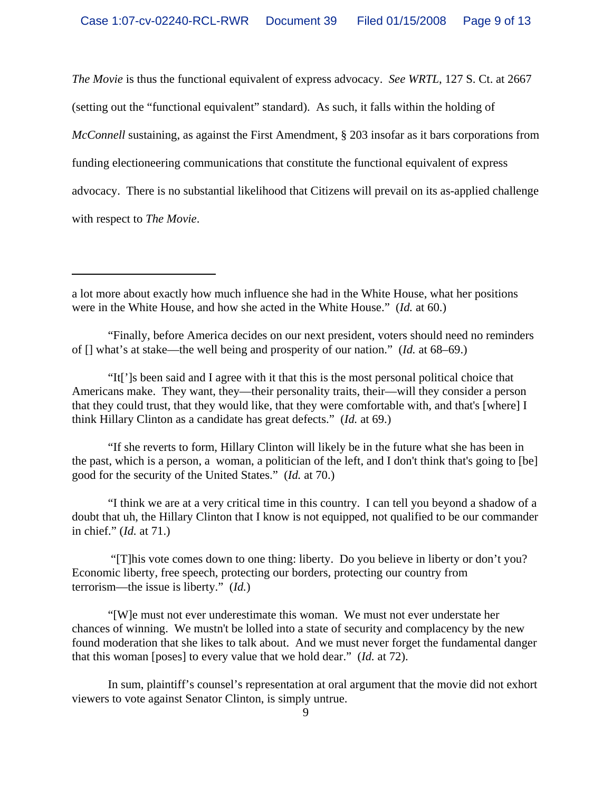*The Movie* is thus the functional equivalent of express advocacy. *See WRTL*, 127 S. Ct. at 2667

(setting out the "functional equivalent" standard). As such, it falls within the holding of *McConnell* sustaining, as against the First Amendment, § 203 insofar as it bars corporations from funding electioneering communications that constitute the functional equivalent of express advocacy. There is no substantial likelihood that Citizens will prevail on its as-applied challenge with respect to *The Movie*.

"If she reverts to form, Hillary Clinton will likely be in the future what she has been in the past, which is a person, a woman, a politician of the left, and I don't think that's going to [be] good for the security of the United States." (*Id.* at 70.)

"I think we are at a very critical time in this country. I can tell you beyond a shadow of a doubt that uh, the Hillary Clinton that I know is not equipped, not qualified to be our commander in chief." (*Id.* at 71.)

 "[T]his vote comes down to one thing: liberty. Do you believe in liberty or don't you? Economic liberty, free speech, protecting our borders, protecting our country from terrorism—the issue is liberty." (*Id.*)

"[W]e must not ever underestimate this woman. We must not ever understate her chances of winning. We mustn't be lolled into a state of security and complacency by the new found moderation that she likes to talk about. And we must never forget the fundamental danger that this woman [poses] to every value that we hold dear." (*Id.* at 72).

In sum, plaintiff's counsel's representation at oral argument that the movie did not exhort viewers to vote against Senator Clinton, is simply untrue.

a lot more about exactly how much influence she had in the White House, what her positions were in the White House, and how she acted in the White House." (*Id.* at 60.)

<sup>&</sup>quot;Finally, before America decides on our next president, voters should need no reminders of [] what's at stake—the well being and prosperity of our nation." (*Id.* at 68–69.)

<sup>&</sup>quot;It[']s been said and I agree with it that this is the most personal political choice that Americans make. They want, they—their personality traits, their—will they consider a person that they could trust, that they would like, that they were comfortable with, and that's [where] I think Hillary Clinton as a candidate has great defects." (*Id.* at 69.)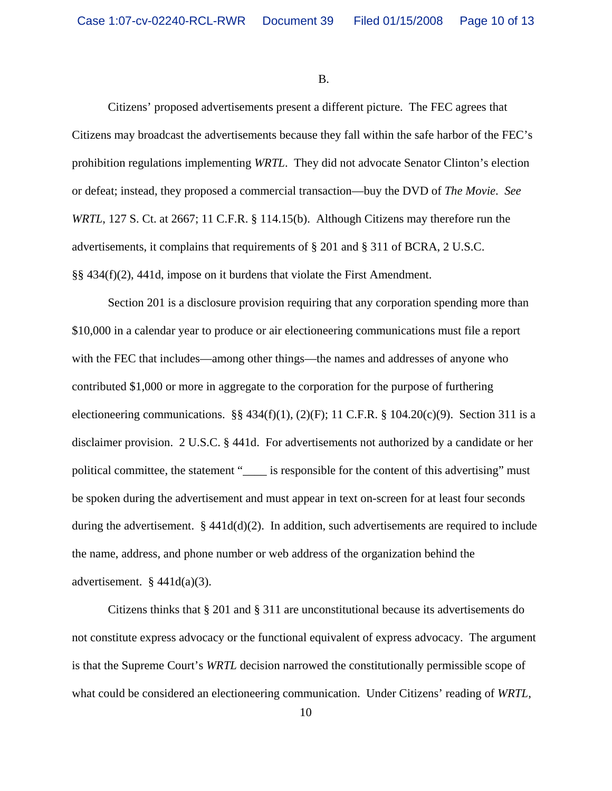B.

Citizens' proposed advertisements present a different picture. The FEC agrees that Citizens may broadcast the advertisements because they fall within the safe harbor of the FEC's prohibition regulations implementing *WRTL*. They did not advocate Senator Clinton's election or defeat; instead, they proposed a commercial transaction—buy the DVD of *The Movie*. *See WRTL*, 127 S. Ct. at 2667; 11 C.F.R. § 114.15(b). Although Citizens may therefore run the advertisements, it complains that requirements of § 201 and § 311 of BCRA, 2 U.S.C. §§ 434(f)(2), 441d, impose on it burdens that violate the First Amendment.

Section 201 is a disclosure provision requiring that any corporation spending more than \$10,000 in a calendar year to produce or air electioneering communications must file a report with the FEC that includes—among other things—the names and addresses of anyone who contributed \$1,000 or more in aggregate to the corporation for the purpose of furthering electioneering communications.  $\S$ § 434(f)(1), (2)(F); 11 C.F.R. § 104.20(c)(9). Section 311 is a disclaimer provision. 2 U.S.C. § 441d. For advertisements not authorized by a candidate or her political committee, the statement "\_\_\_\_\_ is responsible for the content of this advertising" must be spoken during the advertisement and must appear in text on-screen for at least four seconds during the advertisement.  $\S 441d(d)(2)$ . In addition, such advertisements are required to include the name, address, and phone number or web address of the organization behind the advertisement.  $§$  441d(a)(3).

Citizens thinks that § 201 and § 311 are unconstitutional because its advertisements do not constitute express advocacy or the functional equivalent of express advocacy. The argument is that the Supreme Court's *WRTL* decision narrowed the constitutionally permissible scope of what could be considered an electioneering communication. Under Citizens' reading of *WRTL*,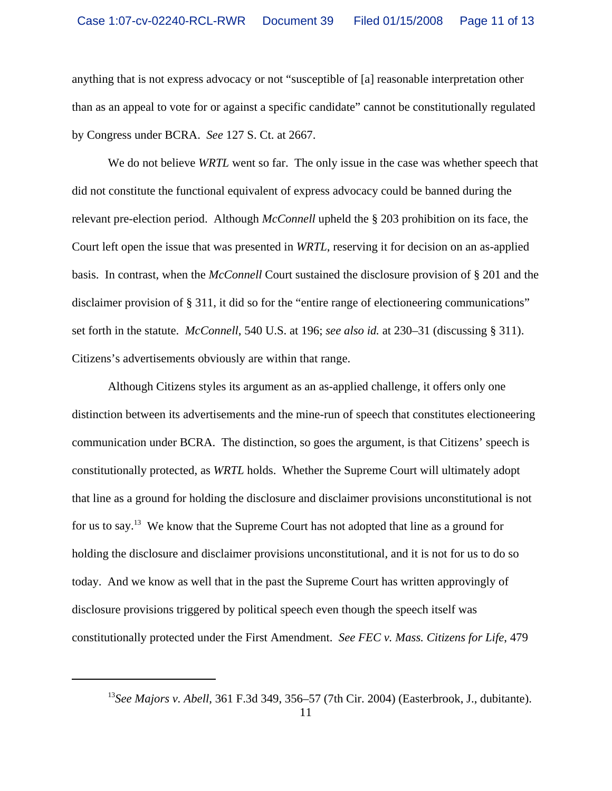anything that is not express advocacy or not "susceptible of [a] reasonable interpretation other than as an appeal to vote for or against a specific candidate" cannot be constitutionally regulated by Congress under BCRA. *See* 127 S. Ct. at 2667.

We do not believe *WRTL* went so far. The only issue in the case was whether speech that did not constitute the functional equivalent of express advocacy could be banned during the relevant pre-election period. Although *McConnell* upheld the § 203 prohibition on its face, the Court left open the issue that was presented in *WRTL*, reserving it for decision on an as-applied basis. In contrast, when the *McConnell* Court sustained the disclosure provision of § 201 and the disclaimer provision of § 311, it did so for the "entire range of electioneering communications" set forth in the statute. *McConnell*, 540 U.S. at 196; *see also id.* at 230–31 (discussing § 311). Citizens's advertisements obviously are within that range.

Although Citizens styles its argument as an as-applied challenge, it offers only one distinction between its advertisements and the mine-run of speech that constitutes electioneering communication under BCRA. The distinction, so goes the argument, is that Citizens' speech is constitutionally protected, as *WRTL* holds. Whether the Supreme Court will ultimately adopt that line as a ground for holding the disclosure and disclaimer provisions unconstitutional is not for us to say.13 We know that the Supreme Court has not adopted that line as a ground for holding the disclosure and disclaimer provisions unconstitutional, and it is not for us to do so today. And we know as well that in the past the Supreme Court has written approvingly of disclosure provisions triggered by political speech even though the speech itself was constitutionally protected under the First Amendment. *See FEC v. Mass. Citizens for Life*, 479

<sup>13</sup>*See Majors v. Abell*, 361 F.3d 349, 356–57 (7th Cir. 2004) (Easterbrook, J., dubitante).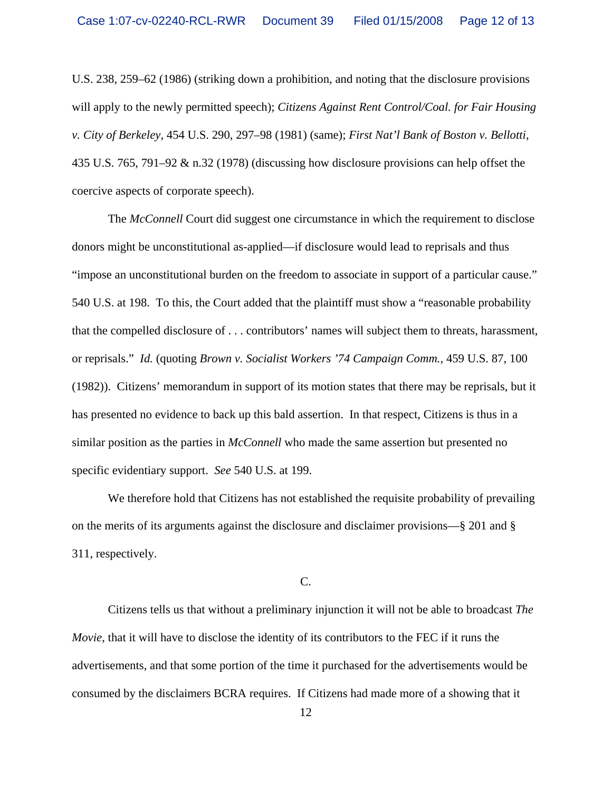U.S. 238, 259–62 (1986) (striking down a prohibition, and noting that the disclosure provisions will apply to the newly permitted speech); *Citizens Against Rent Control/Coal. for Fair Housing v. City of Berkeley*, 454 U.S. 290, 297–98 (1981) (same); *First Nat'l Bank of Boston v. Bellotti*, 435 U.S. 765, 791–92 & n.32 (1978) (discussing how disclosure provisions can help offset the coercive aspects of corporate speech).

The *McConnell* Court did suggest one circumstance in which the requirement to disclose donors might be unconstitutional as-applied—if disclosure would lead to reprisals and thus "impose an unconstitutional burden on the freedom to associate in support of a particular cause." 540 U.S. at 198. To this, the Court added that the plaintiff must show a "reasonable probability that the compelled disclosure of . . . contributors' names will subject them to threats, harassment, or reprisals." *Id.* (quoting *Brown v. Socialist Workers '74 Campaign Comm.*, 459 U.S. 87, 100 (1982)). Citizens' memorandum in support of its motion states that there may be reprisals, but it has presented no evidence to back up this bald assertion. In that respect, Citizens is thus in a similar position as the parties in *McConnell* who made the same assertion but presented no specific evidentiary support. *See* 540 U.S. at 199.

We therefore hold that Citizens has not established the requisite probability of prevailing on the merits of its arguments against the disclosure and disclaimer provisions—§ 201 and § 311, respectively.

C.

Citizens tells us that without a preliminary injunction it will not be able to broadcast *The Movie*, that it will have to disclose the identity of its contributors to the FEC if it runs the advertisements, and that some portion of the time it purchased for the advertisements would be consumed by the disclaimers BCRA requires. If Citizens had made more of a showing that it